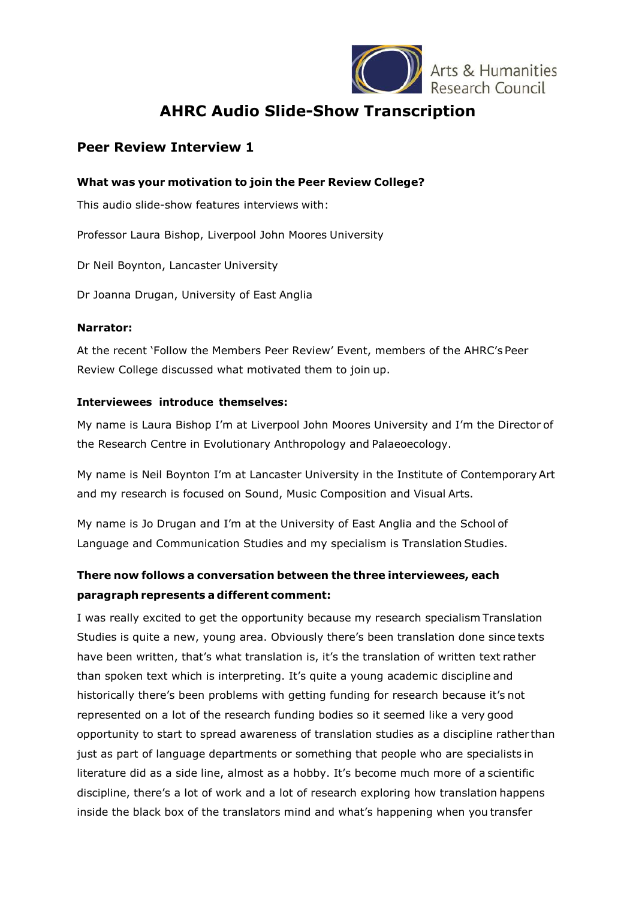

**AHRC Audio Slide-Show Transcription**

## **Peer Review Interview 1**

#### **What was your motivation to join the Peer Review College?**

This audio slide-show features interviews with:

Professor Laura Bishop, Liverpool John Moores University

Dr Neil Boynton, Lancaster University

Dr Joanna Drugan, University of East Anglia

#### **Narrator:**

At the recent 'Follow the Members Peer Review' Event, members of the AHRC's Peer Review College discussed what motivated them to join up.

### **Interviewees introduce themselves:**

My name is Laura Bishop I'm at Liverpool John Moores University and I'm the Director of the Research Centre in Evolutionary Anthropology and Palaeoecology.

My name is Neil Boynton I'm at Lancaster University in the Institute of ContemporaryArt and my research is focused on Sound, Music Composition and Visual Arts.

My name is Jo Drugan and I'm at the University of East Anglia and the School of Language and Communication Studies and my specialism is Translation Studies.

# **There now follows a conversation between the three interviewees, each paragraph represents a different comment:**

I was really excited to get the opportunity because my research specialism Translation Studies is quite a new, young area. Obviously there's been translation done since texts have been written, that's what translation is, it's the translation of written text rather than spoken text which is interpreting. It's quite a young academic discipline and historically there's been problems with getting funding for research because it's not represented on a lot of the research funding bodies so it seemed like a very good opportunity to start to spread awareness of translation studies as a discipline rather than just as part of language departments or something that people who are specialists in literature did as a side line, almost as a hobby. It's become much more of a scientific discipline, there's a lot of work and a lot of research exploring how translation happens inside the black box of the translators mind and what's happening when you transfer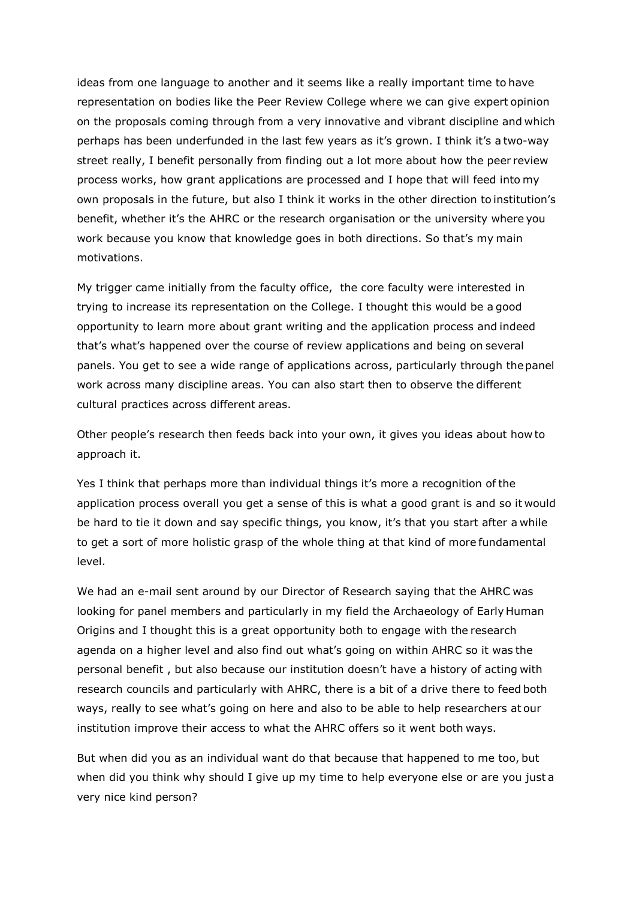ideas from one language to another and it seems like a really important time to have representation on bodies like the Peer Review College where we can give expert opinion on the proposals coming through from a very innovative and vibrant discipline and which perhaps has been underfunded in the last few years as it's grown. I think it's a two-way street really, I benefit personally from finding out a lot more about how the peer review process works, how grant applications are processed and I hope that will feed into my own proposals in the future, but also I think it works in the other direction to institution's benefit, whether it's the AHRC or the research organisation or the university where you work because you know that knowledge goes in both directions. So that's my main motivations.

My trigger came initially from the faculty office, the core faculty were interested in trying to increase its representation on the College. I thought this would be a good opportunity to learn more about grant writing and the application process and indeed that's what's happened over the course of review applications and being on several panels. You get to see a wide range of applications across, particularly through thepanel work across many discipline areas. You can also start then to observe the different cultural practices across different areas.

Other people's research then feeds back into your own, it gives you ideas about how to approach it.

Yes I think that perhaps more than individual things it's more a recognition of the application process overall you get a sense of this is what a good grant is and so it would be hard to tie it down and say specific things, you know, it's that you start after a while to get a sort of more holistic grasp of the whole thing at that kind of more fundamental level.

We had an e-mail sent around by our Director of Research saying that the AHRC was looking for panel members and particularly in my field the Archaeology of Early Human Origins and I thought this is a great opportunity both to engage with the research agenda on a higher level and also find out what's going on within AHRC so it was the personal benefit , but also because our institution doesn't have a history of acting with research councils and particularly with AHRC, there is a bit of a drive there to feed both ways, really to see what's going on here and also to be able to help researchers at our institution improve their access to what the AHRC offers so it went both ways.

But when did you as an individual want do that because that happened to me too, but when did you think why should I give up my time to help everyone else or are you just a very nice kind person?